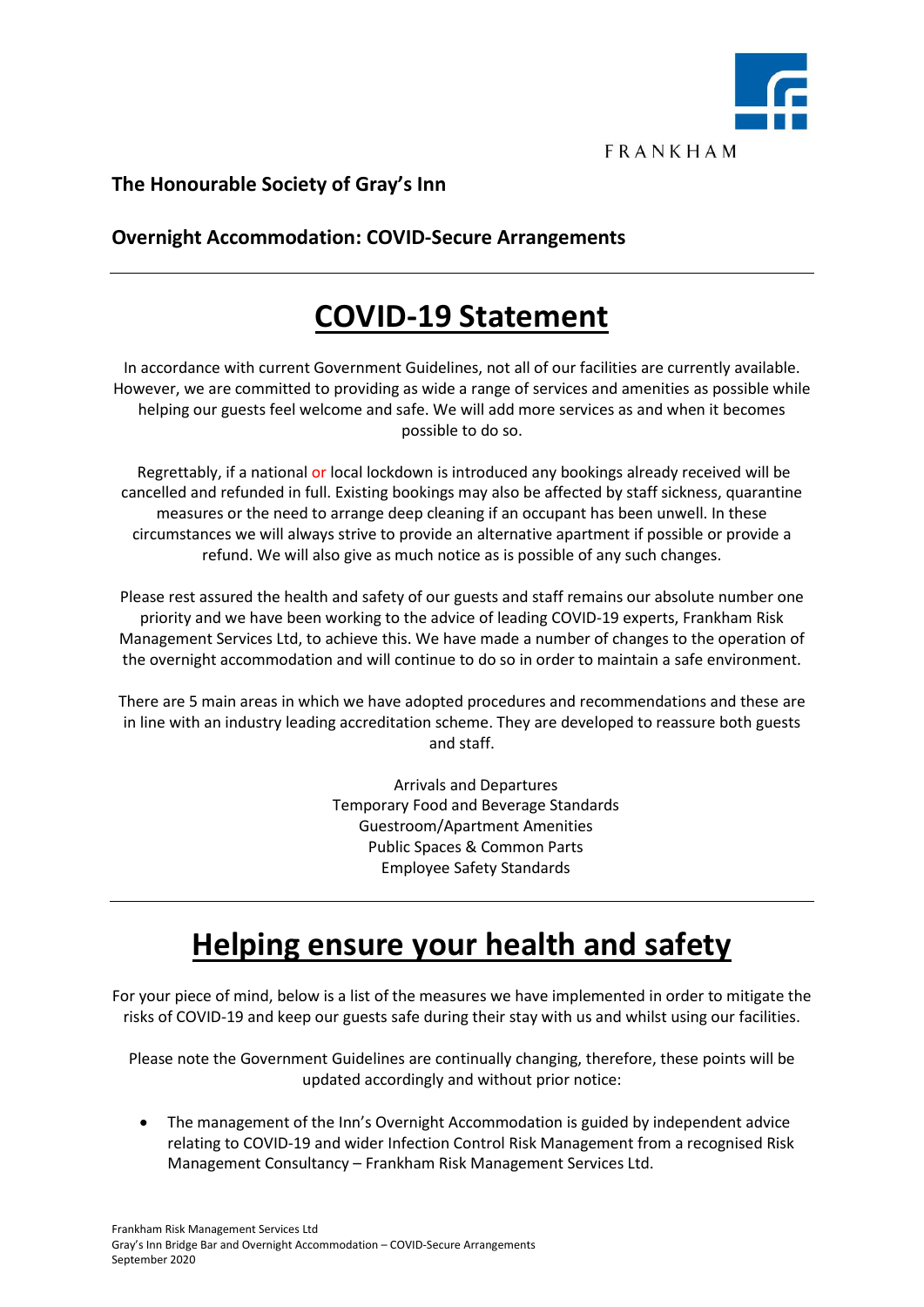

**FRANKHAM** 

### **The Honourable Society of Gray's Inn**

### **Overnight Accommodation: COVID-Secure Arrangements**

## **COVID-19 Statement**

In accordance with current Government Guidelines, not all of our facilities are currently available. However, we are committed to providing as wide a range of services and amenities as possible while helping our guests feel welcome and safe. We will add more services as and when it becomes possible to do so.

Regrettably, if a national or local lockdown is introduced any bookings already received will be cancelled and refunded in full. Existing bookings may also be affected by staff sickness, quarantine measures or the need to arrange deep cleaning if an occupant has been unwell. In these circumstances we will always strive to provide an alternative apartment if possible or provide a refund. We will also give as much notice as is possible of any such changes.

Please rest assured the health and safety of our guests and staff remains our absolute number one priority and we have been working to the advice of leading COVID-19 experts, Frankham Risk Management Services Ltd, to achieve this. We have made a number of changes to the operation of the overnight accommodation and will continue to do so in order to maintain a safe environment.

There are 5 main areas in which we have adopted procedures and recommendations and these are in line with an industry leading accreditation scheme. They are developed to reassure both guests and staff.

> Arrivals and Departures Temporary Food and Beverage Standards Guestroom/Apartment Amenities Public Spaces & Common Parts Employee Safety Standards

# **Helping ensure your health and safety**

For your piece of mind, below is a list of the measures we have implemented in order to mitigate the risks of COVID-19 and keep our guests safe during their stay with us and whilst using our facilities.

Please note the Government Guidelines are continually changing, therefore, these points will be updated accordingly and without prior notice:

• The management of the Inn's Overnight Accommodation is guided by independent advice relating to COVID-19 and wider Infection Control Risk Management from a recognised Risk Management Consultancy – Frankham Risk Management Services Ltd.